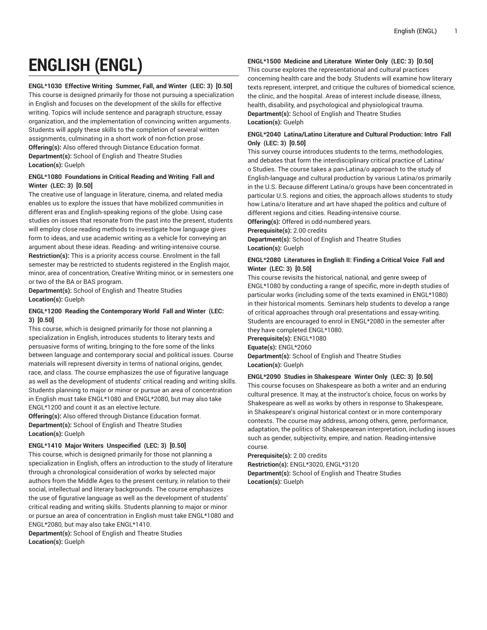# **ENGLISH (ENGL)**

#### **ENGL\*1030 Effective Writing Summer, Fall, and Winter (LEC: 3) [0.50]**

This course is designed primarily for those not pursuing a specialization in English and focuses on the development of the skills for effective writing. Topics will include sentence and paragraph structure, essay organization, and the implementation of convincing written arguments. Students will apply these skills to the completion of several written assignments, culminating in a short work of non-fiction prose. **Offering(s):** Also offered through Distance Education format. **Department(s):** School of English and Theatre Studies **Location(s):** Guelph

## **ENGL\*1080 Foundations in Critical Reading and Writing Fall and Winter (LEC: 3) [0.50]**

The creative use of language in literature, cinema, and related media enables us to explore the issues that have mobilized communities in different eras and English-speaking regions of the globe. Using case studies on issues that resonate from the past into the present, students will employ close reading methods to investigate how language gives form to ideas, and use academic writing as a vehicle for conveying an argument about these ideas. Reading- and writing-intensive course. **Restriction(s):** This is a priority access course. Enrolment in the fall semester may be restricted to students registered in the English major, minor, area of concentration, Creative Writing minor, or in semesters one or two of the BA or BAS program.

**Department(s):** School of English and Theatre Studies **Location(s):** Guelph

# **ENGL\*1200 Reading the Contemporary World Fall and Winter (LEC: 3) [0.50]**

This course, which is designed primarily for those not planning a specialization in English, introduces students to literary texts and persuasive forms of writing, bringing to the fore some of the links between language and contemporary social and political issues. Course materials will represent diversity in terms of national origins, gender, race, and class. The course emphasizes the use of figurative language as well as the development of students' critical reading and writing skills. Students planning to major or minor or pursue an area of concentration in English must take ENGL\*1080 and ENGL\*2080, but may also take ENGL\*1200 and count it as an elective lecture.

**Offering(s):** Also offered through Distance Education format. **Department(s):** School of English and Theatre Studies **Location(s):** Guelph

#### **ENGL\*1410 Major Writers Unspecified (LEC: 3) [0.50]**

This course, which is designed primarily for those not planning a specialization in English, offers an introduction to the study of literature through a chronological consideration of works by selected major authors from the Middle Ages to the present century, in relation to their social, intellectual and literary backgrounds. The course emphasizes the use of figurative language as well as the development of students' critical reading and writing skills. Students planning to major or minor or pursue an area of concentration in English must take ENGL\*1080 and ENGL\*2080, but may also take ENGL\*1410.

**Department(s):** School of English and Theatre Studies **Location(s):** Guelph

#### **ENGL\*1500 Medicine and Literature Winter Only (LEC: 3) [0.50]**

This course explores the representational and cultural practices concerning health care and the body. Students will examine how literary texts represent, interpret, and critique the cultures of biomedical science, the clinic, and the hospital. Areas of interest include disease, illness, health, disability, and psychological and physiological trauma. **Department(s):** School of English and Theatre Studies **Location(s):** Guelph

#### **ENGL\*2040 Latina/Latino Literature and Cultural Production: Intro Fall Only (LEC: 3) [0.50]**

This survey course introduces students to the terms, methodologies, and debates that form the interdisciplinary critical practice of Latina/ o Studies. The course takes a pan-Latina/o approach to the study of English-language and cultural production by various Latina/os primarily in the U.S. Because different Latina/o groups have been concentrated in particular U.S. regions and cities, the approach allows students to study how Latina/o literature and art have shaped the politics and culture of different regions and cities. Reading-intensive course.

**Offering(s):** Offered in odd-numbered years.

**Prerequisite(s):** 2.00 credits

**Department(s):** School of English and Theatre Studies **Location(s):** Guelph

#### **ENGL\*2080 Literatures in English II: Finding a Critical Voice Fall and Winter (LEC: 3) [0.50]**

This course revisits the historical, national, and genre sweep of ENGL\*1080 by conducting a range of specific, more in-depth studies of particular works (including some of the texts examined in ENGL\*1080) in their historical moments. Seminars help students to develop a range of critical approaches through oral presentations and essay-writing. Students are encouraged to enrol in ENGL\*2080 in the semester after they have completed ENGL\*1080.

**Prerequisite(s):** ENGL\*1080 **Equate(s):** ENGL\*2060 **Department(s):** School of English and Theatre Studies **Location(s):** Guelph

#### **ENGL\*2090 Studies in Shakespeare Winter Only (LEC: 3) [0.50]**

This course focuses on Shakespeare as both a writer and an enduring cultural presence. It may, at the instructor's choice, focus on works by Shakespeare as well as works by others in response to Shakespeare, in Shakespeare's original historical context or in more contemporary contexts. The course may address, among others, genre, performance, adaptation, the politics of Shakespearean interpretation, including issues such as gender, subjectivity, empire, and nation. Reading-intensive course.

**Prerequisite(s):** 2.00 credits **Restriction(s):** ENGL\*3020, ENGL\*3120 **Department(s):** School of English and Theatre Studies **Location(s):** Guelph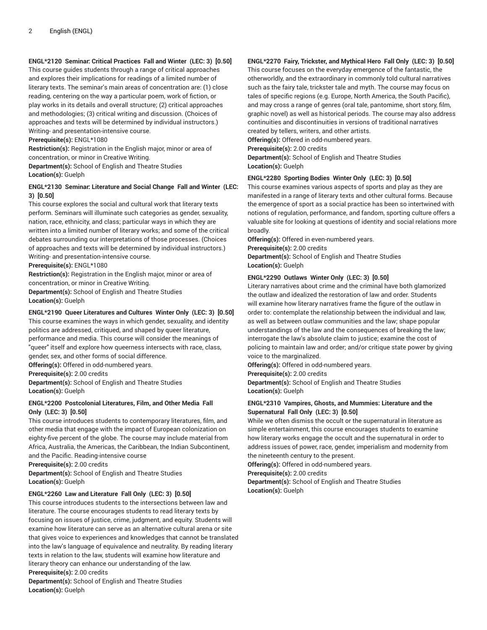# **ENGL\*2120 Seminar: Critical Practices Fall and Winter (LEC: 3) [0.50]**

This course guides students through a range of critical approaches and explores their implications for readings of a limited number of literary texts. The seminar's main areas of concentration are: (1) close reading, centering on the way a particular poem, work of fiction, or play works in its details and overall structure; (2) critical approaches and methodologies; (3) critical writing and discussion. (Choices of approaches and texts will be determined by individual instructors.) Writing- and presentation-intensive course.

**Prerequisite(s):** ENGL\*1080

**Restriction(s):** Registration in the English major, minor or area of concentration, or minor in Creative Writing.

**Department(s):** School of English and Theatre Studies **Location(s):** Guelph

## **ENGL\*2130 Seminar: Literature and Social Change Fall and Winter (LEC: 3) [0.50]**

This course explores the social and cultural work that literary texts perform. Seminars will illuminate such categories as gender, sexuality, nation, race, ethnicity, and class; particular ways in which they are written into a limited number of literary works; and some of the critical debates surrounding our interpretations of those processes. (Choices of approaches and texts will be determined by individual instructors.) Writing- and presentation-intensive course.

**Prerequisite(s):** ENGL\*1080

**Restriction(s):** Registration in the English major, minor or area of concentration, or minor in Creative Writing.

**Department(s):** School of English and Theatre Studies **Location(s):** Guelph

## **ENGL\*2190 Queer Literatures and Cultures Winter Only (LEC: 3) [0.50]**

This course examines the ways in which gender, sexuality, and identity politics are addressed, critiqued, and shaped by queer literature, performance and media. This course will consider the meanings of "queer" itself and explore how queerness intersects with race, class, gender, sex, and other forms of social difference. **Offering(s):** Offered in odd-numbered years.

**Prerequisite(s):** 2.00 credits

**Department(s):** School of English and Theatre Studies **Location(s):** Guelph

## **ENGL\*2200 Postcolonial Literatures, Film, and Other Media Fall Only (LEC: 3) [0.50]**

This course introduces students to contemporary literatures, film, and other media that engage with the impact of European colonization on eighty-five percent of the globe. The course may include material from Africa, Australia, the Americas, the Caribbean, the Indian Subcontinent, and the Pacific. Reading-intensive course

**Prerequisite(s):** 2.00 credits

**Department(s):** School of English and Theatre Studies **Location(s):** Guelph

# **ENGL\*2260 Law and Literature Fall Only (LEC: 3) [0.50]**

This course introduces students to the intersections between law and literature. The course encourages students to read literary texts by focusing on issues of justice, crime, judgment, and equity. Students will examine how literature can serve as an alternative cultural arena or site that gives voice to experiences and knowledges that cannot be translated into the law's language of equivalence and neutrality. By reading literary texts in relation to the law, students will examine how literature and literary theory can enhance our understanding of the law.

**Prerequisite(s):** 2.00 credits

**Department(s):** School of English and Theatre Studies **Location(s):** Guelph

# **ENGL\*2270 Fairy, Trickster, and Mythical Hero Fall Only (LEC: 3) [0.50]**

This course focuses on the everyday emergence of the fantastic, the otherworldly, and the extraordinary in commonly told cultural narratives such as the fairy tale, trickster tale and myth. The course may focus on tales of specific regions (e.g. Europe, North America, the South Pacific), and may cross a range of genres (oral tale, pantomime, short story, film, graphic novel) as well as historical periods. The course may also address continuities and discontinuities in versions of traditional narratives created by tellers, writers, and other artists.

**Offering(s):** Offered in odd-numbered years.

#### **Prerequisite(s):** 2.00 credits

**Department(s):** School of English and Theatre Studies **Location(s):** Guelph

# **ENGL\*2280 Sporting Bodies Winter Only (LEC: 3) [0.50]**

This course examines various aspects of sports and play as they are manifested in a range of literary texts and other cultural forms. Because the emergence of sport as a social practice has been so intertwined with notions of regulation, performance, and fandom, sporting culture offers a valuable site for looking at questions of identity and social relations more broadly.

**Offering(s):** Offered in even-numbered years. **Prerequisite(s):** 2.00 credits

**Department(s):** School of English and Theatre Studies **Location(s):** Guelph

#### **ENGL\*2290 Outlaws Winter Only (LEC: 3) [0.50]**

Literary narratives about crime and the criminal have both glamorized the outlaw and idealized the restoration of law and order. Students will examine how literary narratives frame the figure of the outlaw in order to: contemplate the relationship between the individual and law, as well as between outlaw communities and the law; shape popular understandings of the law and the consequences of breaking the law; interrogate the law's absolute claim to justice; examine the cost of policing to maintain law and order; and/or critique state power by giving voice to the marginalized.

**Offering(s):** Offered in odd-numbered years.

**Prerequisite(s):** 2.00 credits

**Department(s):** School of English and Theatre Studies **Location(s):** Guelph

## **ENGL\*2310 Vampires, Ghosts, and Mummies: Literature and the Supernatural Fall Only (LEC: 3) [0.50]**

While we often dismiss the occult or the supernatural in literature as simple entertainment, this course encourages students to examine how literary works engage the occult and the supernatural in order to address issues of power, race, gender, imperialism and modernity from the nineteenth century to the present.

**Offering(s):** Offered in odd-numbered years.

**Prerequisite(s):** 2.00 credits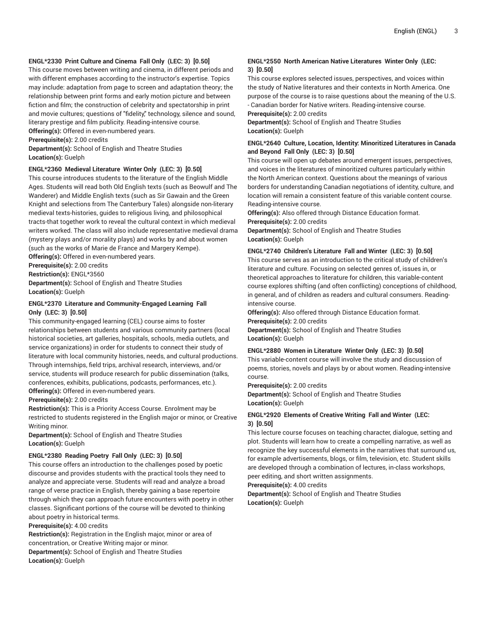## **ENGL\*2330 Print Culture and Cinema Fall Only (LEC: 3) [0.50]**

This course moves between writing and cinema, in different periods and with different emphases according to the instructor's expertise. Topics may include: adaptation from page to screen and adaptation theory; the relationship between print forms and early motion picture and between fiction and film; the construction of celebrity and spectatorship in print and movie cultures; questions of "fidelity," technology, silence and sound, literary prestige and film publicity. Reading-intensive course.

**Offering(s):** Offered in even-numbered years.

**Prerequisite(s):** 2.00 credits

**Department(s):** School of English and Theatre Studies **Location(s):** Guelph

#### **ENGL\*2360 Medieval Literature Winter Only (LEC: 3) [0.50]**

This course introduces students to the literature of the English Middle Ages. Students will read both Old English texts (such as Beowulf and The Wanderer) and Middle English texts (such as Sir Gawain and the Green Knight and selections from The Canterbury Tales) alongside non-literary medieval texts-histories, guides to religious living, and philosophical tracts-that together work to reveal the cultural context in which medieval writers worked. The class will also include representative medieval drama (mystery plays and/or morality plays) and works by and about women (such as the works of Marie de France and Margery Kempe).

**Offering(s):** Offered in even-numbered years.

**Prerequisite(s):** 2.00 credits **Restriction(s):** ENGL\*3560

**Department(s):** School of English and Theatre Studies **Location(s):** Guelph

#### **ENGL\*2370 Literature and Community-Engaged Learning Fall Only (LEC: 3) [0.50]**

This community-engaged learning (CEL) course aims to foster relationships between students and various community partners (local historical societies, art galleries, hospitals, schools, media outlets, and service organizations) in order for students to connect their study of literature with local community histories, needs, and cultural productions. Through internships, field trips, archival research, interviews, and/or service, students will produce research for public dissemination (talks, conferences, exhibits, publications, podcasts, performances, etc.). **Offering(s):** Offered in even-numbered years.

**Prerequisite(s):** 2.00 credits

**Restriction(s):** This is a Priority Access Course. Enrolment may be restricted to students registered in the English major or minor, or Creative Writing minor.

**Department(s):** School of English and Theatre Studies **Location(s):** Guelph

#### **ENGL\*2380 Reading Poetry Fall Only (LEC: 3) [0.50]**

This course offers an introduction to the challenges posed by poetic discourse and provides students with the practical tools they need to analyze and appreciate verse. Students will read and analyze a broad range of verse practice in English, thereby gaining a base repertoire through which they can approach future encounters with poetry in other classes. Significant portions of the course will be devoted to thinking about poetry in historical terms.

#### **Prerequisite(s):** 4.00 credits

**Restriction(s):** Registration in the English major, minor or area of concentration, or Creative Writing major or minor. **Department(s):** School of English and Theatre Studies **Location(s):** Guelph

#### **ENGL\*2550 North American Native Literatures Winter Only (LEC: 3) [0.50]**

This course explores selected issues, perspectives, and voices within the study of Native literatures and their contexts in North America. One purpose of the course is to raise questions about the meaning of the U.S. - Canadian border for Native writers. Reading-intensive course. **Prerequisite(s):** 2.00 credits

**Department(s):** School of English and Theatre Studies **Location(s):** Guelph

#### **ENGL\*2640 Culture, Location, Identity: Minoritized Literatures in Canada and Beyond Fall Only (LEC: 3) [0.50]**

This course will open up debates around emergent issues, perspectives, and voices in the literatures of minoritized cultures particularly within the North American context. Questions about the meanings of various borders for understanding Canadian negotiations of identity, culture, and location will remain a consistent feature of this variable content course. Reading-intensive course.

**Offering(s):** Also offered through Distance Education format.

**Prerequisite(s):** 2.00 credits

**Department(s):** School of English and Theatre Studies **Location(s):** Guelph

#### **ENGL\*2740 Children's Literature Fall and Winter (LEC: 3) [0.50]**

This course serves as an introduction to the critical study of children's literature and culture. Focusing on selected genres of, issues in, or theoretical approaches to literature for children, this variable-content course explores shifting (and often conflicting) conceptions of childhood, in general, and of children as readers and cultural consumers. Readingintensive course.

**Offering(s):** Also offered through Distance Education format. **Prerequisite(s):** 2.00 credits

**Department(s):** School of English and Theatre Studies **Location(s):** Guelph

# **ENGL\*2880 Women in Literature Winter Only (LEC: 3) [0.50]**

This variable-content course will involve the study and discussion of poems, stories, novels and plays by or about women. Reading-intensive course.

**Prerequisite(s):** 2.00 credits

**Department(s):** School of English and Theatre Studies **Location(s):** Guelph

#### **ENGL\*2920 Elements of Creative Writing Fall and Winter (LEC: 3) [0.50]**

This lecture course focuses on teaching character, dialogue, setting and plot. Students will learn how to create a compelling narrative, as well as recognize the key successful elements in the narratives that surround us, for example advertisements, blogs, or film, television, etc. Student skills are developed through a combination of lectures, in-class workshops, peer editing, and short written assignments.

**Prerequisite(s):** 4.00 credits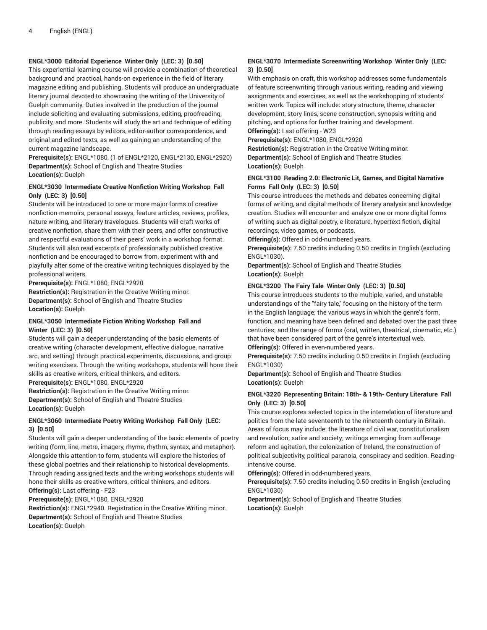# **ENGL\*3000 Editorial Experience Winter Only (LEC: 3) [0.50]**

This experiential-learning course will provide a combination of theoretical background and practical, hands-on experience in the field of literary magazine editing and publishing. Students will produce an undergraduate literary journal devoted to showcasing the writing of the University of Guelph community. Duties involved in the production of the journal include soliciting and evaluating submissions, editing, proofreading, publicity, and more. Students will study the art and technique of editing through reading essays by editors, editor-author correspondence, and original and edited texts, as well as gaining an understanding of the current magazine landscape.

**Prerequisite(s):** ENGL\*1080, (1 of ENGL\*2120, ENGL\*2130, ENGL\*2920) **Department(s):** School of English and Theatre Studies **Location(s):** Guelph

## **ENGL\*3030 Intermediate Creative Nonfiction Writing Workshop Fall Only (LEC: 3) [0.50]**

Students will be introduced to one or more major forms of creative nonfiction-memoirs, personal essays, feature articles, reviews, profiles, nature writing, and literary travelogues. Students will craft works of creative nonfiction, share them with their peers, and offer constructive and respectful evaluations of their peers' work in a workshop format. Students will also read excerpts of professionally published creative nonfiction and be encouraged to borrow from, experiment with and playfully alter some of the creative writing techniques displayed by the professional writers.

**Prerequisite(s):** ENGL\*1080, ENGL\*2920

**Restriction(s):** Registration in the Creative Writing minor. **Department(s):** School of English and Theatre Studies **Location(s):** Guelph

#### **ENGL\*3050 Intermediate Fiction Writing Workshop Fall and Winter (LEC: 3) [0.50]**

Students will gain a deeper understanding of the basic elements of creative writing (character development, effective dialogue, narrative arc, and setting) through practical experiments, discussions, and group writing exercises. Through the writing workshops, students will hone their skills as creative writers, critical thinkers, and editors.

**Prerequisite(s):** ENGL\*1080, ENGL\*2920

**Restriction(s):** Registration in the Creative Writing minor. **Department(s):** School of English and Theatre Studies **Location(s):** Guelph

# **ENGL\*3060 Intermediate Poetry Writing Workshop Fall Only (LEC: 3) [0.50]**

Students will gain a deeper understanding of the basic elements of poetry writing (form, line, metre, imagery, rhyme, rhythm, syntax, and metaphor). Alongside this attention to form, students will explore the histories of these global poetries and their relationship to historical developments. Through reading assigned texts and the writing workshops students will hone their skills as creative writers, critical thinkers, and editors. **Offering(s):** Last offering - F23

**Prerequisite(s):** ENGL\*1080, ENGL\*2920

**Restriction(s):** ENGL\*2940. Registration in the Creative Writing minor. **Department(s):** School of English and Theatre Studies **Location(s):** Guelph

# **ENGL\*3070 Intermediate Screenwriting Workshop Winter Only (LEC: 3) [0.50]**

With emphasis on craft, this workshop addresses some fundamentals of feature screenwriting through various writing, reading and viewing assignments and exercises, as well as the workshopping of students' written work. Topics will include: story structure, theme, character development, story lines, scene construction, synopsis writing and pitching, and options for further training and development. **Offering(s):** Last offering - W23

**Prerequisite(s):** ENGL\*1080, ENGL\*2920

**Restriction(s):** Registration in the Creative Writing minor. **Department(s):** School of English and Theatre Studies **Location(s):** Guelph

# **ENGL\*3100 Reading 2.0: Electronic Lit, Games, and Digital Narrative Forms Fall Only (LEC: 3) [0.50]**

This course introduces the methods and debates concerning digital forms of writing, and digital methods of literary analysis and knowledge creation. Studies will encounter and analyze one or more digital forms of writing such as digital poetry, e-literature, hypertext fiction, digital recordings, video games, or podcasts.

**Offering(s):** Offered in odd-numbered years.

**Prerequisite(s):** 7.50 credits including 0.50 credits in English (excluding ENGL\*1030).

**Department(s):** School of English and Theatre Studies **Location(s):** Guelph

# **ENGL\*3200 The Fairy Tale Winter Only (LEC: 3) [0.50]**

This course introduces students to the multiple, varied, and unstable understandings of the "fairy tale," focusing on the history of the term in the English language; the various ways in which the genre's form, function, and meaning have been defined and debated over the past three centuries; and the range of forms (oral, written, theatrical, cinematic, etc.) that have been considered part of the genre's intertextual web. **Offering(s):** Offered in even-numbered years.

**Prerequisite(s):** 7.50 credits including 0.50 credits in English (excluding ENGL\*1030)

**Department(s):** School of English and Theatre Studies **Location(s):** Guelph

# **ENGL\*3220 Representing Britain: 18th- & 19th- Century Literature Fall Only (LEC: 3) [0.50]**

This course explores selected topics in the interrelation of literature and politics from the late seventeenth to the nineteenth century in Britain. Areas of focus may include: the literature of civil war, constitutionalism and revolution; satire and society; writings emerging from sufferage reform and agitation, the colonization of Ireland, the construction of political subjectivity, political paranoia, conspiracy and sedition. Readingintensive course.

**Offering(s):** Offered in odd-numbered years.

**Prerequisite(s):** 7.50 credits including 0.50 credits in English (excluding ENGL\*1030)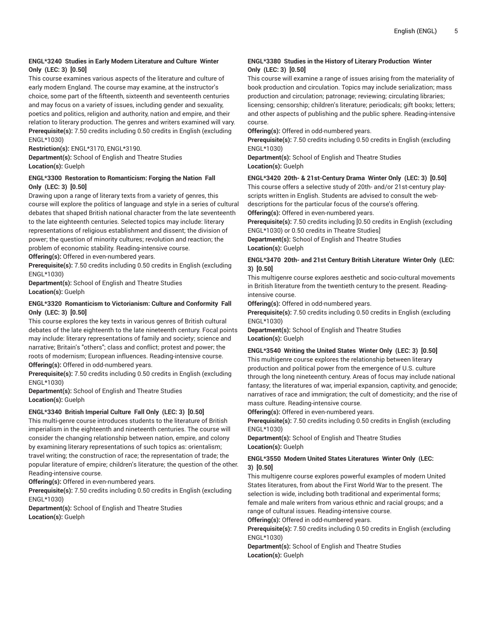# **ENGL\*3240 Studies in Early Modern Literature and Culture Winter Only (LEC: 3) [0.50]**

This course examines various aspects of the literature and culture of early modern England. The course may examine, at the instructor's choice, some part of the fifteenth, sixteenth and seventeenth centuries and may focus on a variety of issues, including gender and sexuality, poetics and politics, religion and authority, nation and empire, and their relation to literary production. The genres and writers examined will vary. **Prerequisite(s):** 7.50 credits including 0.50 credits in English (excluding ENGL\*1030)

**Restriction(s):** ENGL\*3170, ENGL\*3190.

**Department(s):** School of English and Theatre Studies **Location(s):** Guelph

## **ENGL\*3300 Restoration to Romanticism: Forging the Nation Fall Only (LEC: 3) [0.50]**

Drawing upon a range of literary texts from a variety of genres, this course will explore the politics of language and style in a series of cultural debates that shaped British national character from the late seventeenth to the late eighteenth centuries. Selected topics may include: literary representations of religious establishment and dissent; the division of power; the question of minority cultures; revolution and reaction; the problem of economic stability. Reading-intensive course. **Offering(s):** Offered in even-numbered years.

**Prerequisite(s):** 7.50 credits including 0.50 credits in English (excluding

ENGL\*1030) **Department(s):** School of English and Theatre Studies **Location(s):** Guelph

# **ENGL\*3320 Romanticism to Victorianism: Culture and Conformity Fall Only (LEC: 3) [0.50]**

This course explores the key texts in various genres of British cultural debates of the late eighteenth to the late nineteenth century. Focal points may include: literary representations of family and society; science and narrative; Britain's "others"; class and conflict; protest and power; the roots of modernism; European influences. Reading-intensive course. **Offering(s):** Offered in odd-numbered years.

**Prerequisite(s):** 7.50 credits including 0.50 credits in English (excluding ENGL\*1030)

**Department(s):** School of English and Theatre Studies **Location(s):** Guelph

# **ENGL\*3340 British Imperial Culture Fall Only (LEC: 3) [0.50]**

This multi-genre course introduces students to the literature of British imperialism in the eighteenth and nineteenth centuries. The course will consider the changing relationship between nation, empire, and colony by examining literary representations of such topics as: orientalism; travel writing; the construction of race; the representation of trade; the popular literature of empire; children's literature; the question of the other. Reading-intensive course.

**Offering(s):** Offered in even-numbered years.

**Prerequisite(s):** 7.50 credits including 0.50 credits in English (excluding ENGL\*1030)

**Department(s):** School of English and Theatre Studies **Location(s):** Guelph

# **ENGL\*3380 Studies in the History of Literary Production Winter Only (LEC: 3) [0.50]**

This course will examine a range of issues arising from the materiality of book production and circulation. Topics may include serialization; mass production and circulation; patronage; reviewing; circulating libraries; licensing; censorship; children's literature; periodicals; gift books; letters; and other aspects of publishing and the public sphere. Reading-intensive course.

**Offering(s):** Offered in odd-numbered years.

**Prerequisite(s):** 7.50 credits including 0.50 credits in English (excluding ENGL\*1030)

**Department(s):** School of English and Theatre Studies **Location(s):** Guelph

#### **ENGL\*3420 20th- & 21st-Century Drama Winter Only (LEC: 3) [0.50]**

This course offers a selective study of 20th- and/or 21st-century playscripts written in English. Students are advised to consult the webdescriptions for the particular focus of the course's offering. **Offering(s):** Offered in even-numbered years.

**Prerequisite(s):** 7.50 credits including [0.50 credits in English (excluding ENGL\*1030) or 0.50 credits in Theatre Studies]

**Department(s):** School of English and Theatre Studies **Location(s):** Guelph

# **ENGL\*3470 20th- and 21st Century British Literature Winter Only (LEC: 3) [0.50]**

This multigenre course explores aesthetic and socio-cultural movements in British literature from the twentieth century to the present. Readingintensive course.

**Offering(s):** Offered in odd-numbered years.

**Prerequisite(s):** 7.50 credits including 0.50 credits in English (excluding ENGL\*1030)

**Department(s):** School of English and Theatre Studies **Location(s):** Guelph

# **ENGL\*3540 Writing the United States Winter Only (LEC: 3) [0.50]**

This multigenre course explores the relationship between literary production and political power from the emergence of U.S. culture through the long nineteenth century. Areas of focus may include national fantasy; the literatures of war, imperial expansion, captivity, and genocide; narratives of race and immigration; the cult of domesticity; and the rise of mass culture. Reading-intensive course.

**Offering(s):** Offered in even-numbered years.

**Prerequisite(s):** 7.50 credits including 0.50 credits in English (excluding ENGL\*1030)

**Department(s):** School of English and Theatre Studies **Location(s):** Guelph

#### **ENGL\*3550 Modern United States Literatures Winter Only (LEC: 3) [0.50]**

This multigenre course explores powerful examples of modern United States literatures, from about the First World War to the present. The selection is wide, including both traditional and experimental forms; female and male writers from various ethnic and racial groups; and a range of cultural issues. Reading-intensive course.

**Offering(s):** Offered in odd-numbered years.

**Prerequisite(s):** 7.50 credits including 0.50 credits in English (excluding ENGL\*1030)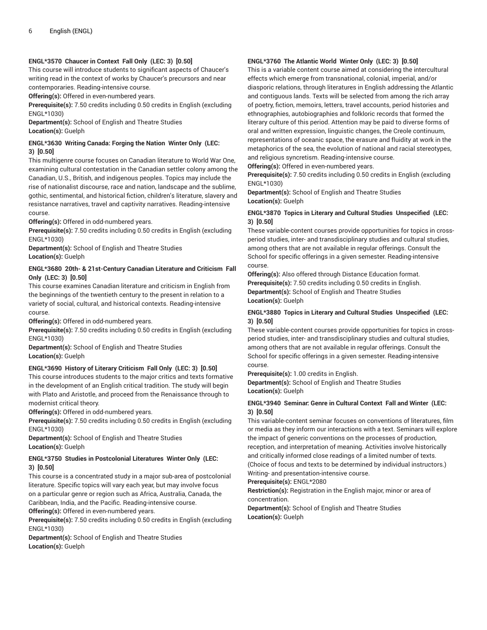## **ENGL\*3570 Chaucer in Context Fall Only (LEC: 3) [0.50]**

This course will introduce students to significant aspects of Chaucer's writing read in the context of works by Chaucer's precursors and near contemporaries. Reading-intensive course.

**Offering(s):** Offered in even-numbered years.

**Prerequisite(s):** 7.50 credits including 0.50 credits in English (excluding ENGL\*1030)

**Department(s):** School of English and Theatre Studies **Location(s):** Guelph

# **ENGL\*3630 Writing Canada: Forging the Nation Winter Only (LEC: 3) [0.50]**

This multigenre course focuses on Canadian literature to World War One, examining cultural contestation in the Canadian settler colony among the Canadian, U.S., British, and indigenous peoples. Topics may include the rise of nationalist discourse, race and nation, landscape and the sublime, gothic, sentimental, and historical fiction, children's literature, slavery and resistance narratives, travel and captivity narratives. Reading-intensive course.

**Offering(s):** Offered in odd-numbered years.

**Prerequisite(s):** 7.50 credits including 0.50 credits in English (excluding ENGL\*1030)

**Department(s):** School of English and Theatre Studies **Location(s):** Guelph

# **ENGL\*3680 20th- & 21st-Century Canadian Literature and Criticism Fall Only (LEC: 3) [0.50]**

This course examines Canadian literature and criticism in English from the beginnings of the twentieth century to the present in relation to a variety of social, cultural, and historical contexts. Reading-intensive course.

**Offering(s):** Offered in odd-numbered years.

**Prerequisite(s):** 7.50 credits including 0.50 credits in English (excluding ENGL\*1030)

**Department(s):** School of English and Theatre Studies **Location(s):** Guelph

# **ENGL\*3690 History of Literary Criticism Fall Only (LEC: 3) [0.50]**

This course introduces students to the major critics and texts formative in the development of an English critical tradition. The study will begin with Plato and Aristotle, and proceed from the Renaissance through to modernist critical theory.

**Offering(s):** Offered in odd-numbered years.

**Prerequisite(s):** 7.50 credits including 0.50 credits in English (excluding ENGL\*1030)

**Department(s):** School of English and Theatre Studies **Location(s):** Guelph

# **ENGL\*3750 Studies in Postcolonial Literatures Winter Only (LEC: 3) [0.50]**

This course is a concentrated study in a major sub-area of postcolonial literature. Specific topics will vary each year, but may involve focus on a particular genre or region such as Africa, Australia, Canada, the Caribbean, India, and the Pacific. Reading-intensive course.

**Offering(s):** Offered in even-numbered years.

**Prerequisite(s):** 7.50 credits including 0.50 credits in English (excluding ENGL\*1030)

**Department(s):** School of English and Theatre Studies **Location(s):** Guelph

#### **ENGL\*3760 The Atlantic World Winter Only (LEC: 3) [0.50]**

This is a variable content course aimed at considering the intercultural effects which emerge from transnational, colonial, imperial, and/or diasporic relations, through literatures in English addressing the Atlantic and contiguous lands. Texts will be selected from among the rich array of poetry, fiction, memoirs, letters, travel accounts, period histories and ethnographies, autobiographies and folkloric records that formed the literary culture of this period. Attention may be paid to diverse forms of oral and written expression, linguistic changes, the Creole continuum, representations of oceanic space, the erasure and fluidity at work in the metaphorics of the sea, the evolution of national and racial stereotypes, and religious syncretism. Reading-intensive course.

**Offering(s):** Offered in even-numbered years.

**Prerequisite(s):** 7.50 credits including 0.50 credits in English (excluding ENGL\*1030)

**Department(s):** School of English and Theatre Studies **Location(s):** Guelph

## **ENGL\*3870 Topics in Literary and Cultural Studies Unspecified (LEC: 3) [0.50]**

These variable-content courses provide opportunities for topics in crossperiod studies, inter- and transdisciplinary studies and cultural studies, among others that are not available in regular offerings. Consult the School for specific offerings in a given semester. Reading-intensive course.

**Offering(s):** Also offered through Distance Education format. **Prerequisite(s):** 7.50 credits including 0.50 credits in English. **Department(s):** School of English and Theatre Studies **Location(s):** Guelph

# **ENGL\*3880 Topics in Literary and Cultural Studies Unspecified (LEC: 3) [0.50]**

These variable-content courses provide opportunities for topics in crossperiod studies, inter- and transdisciplinary studies and cultural studies, among others that are not available in regular offerings. Consult the School for specific offerings in a given semester. Reading-intensive course.

**Prerequisite(s):** 1.00 credits in English.

**Department(s):** School of English and Theatre Studies **Location(s):** Guelph

# **ENGL\*3940 Seminar: Genre in Cultural Context Fall and Winter (LEC: 3) [0.50]**

This variable-content seminar focuses on conventions of literatures, film or media as they inform our interactions with a text. Seminars will explore the impact of generic conventions on the processes of production, reception, and interpretation of meaning. Activities involve historically and critically informed close readings of a limited number of texts. (Choice of focus and texts to be determined by individual instructors.)

Writing- and presentation-intensive course.

**Prerequisite(s):** ENGL\*2080

**Restriction(s):** Registration in the English major, minor or area of concentration.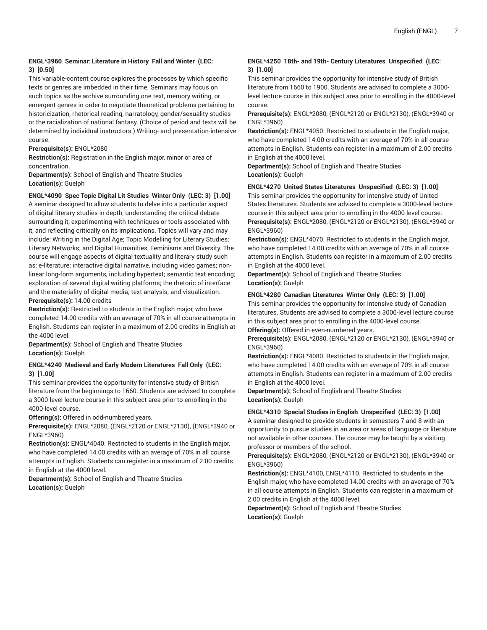# **ENGL\*3960 Seminar: Literature in History Fall and Winter (LEC: 3) [0.50]**

This variable-content course explores the processes by which specific texts or genres are imbedded in their time. Seminars may focus on such topics as the archive surrounding one text, memory writing, or emergent genres in order to negotiate theoretical problems pertaining to historicization, rhetorical reading, narratology, gender/sexuality studies or the racialization of national fantasy. (Choice of period and texts will be determined by individual instructors.) Writing- and presentation-intensive course.

#### **Prerequisite(s):** ENGL\*2080

**Restriction(s):** Registration in the English major, minor or area of concentration.

**Department(s):** School of English and Theatre Studies **Location(s):** Guelph

# **ENGL\*4090 Spec Topic Digital Lit Studies Winter Only (LEC: 3) [1.00]**

A seminar designed to allow students to delve into a particular aspect of digital literary studies in depth, understanding the critical debate surrounding it, experimenting with techniques or tools associated with it, and reflecting critically on its implications. Topics will vary and may include: Writing in the Digital Age; Topic Modelling for Literary Studies; Literary Networks; and Digital Humanities, Feminisms and Diversity. The course will engage aspects of digital textuality and literary study such as: e-literature; interactive digital narrative, including video games; nonlinear long-form arguments, including hypertext; semantic text encoding; exploration of several digital writing platforms; the rhetoric of interface and the materiality of digital media; text analysis; and visualization. **Prerequisite(s):** 14.00 credits

**Restriction(s):** Restricted to students in the English major, who have completed 14.00 credits with an average of 70% in all course attempts in English. Students can register in a maximum of 2.00 credits in English at the 4000 level.

**Department(s):** School of English and Theatre Studies **Location(s):** Guelph

#### **ENGL\*4240 Medieval and Early Modern Literatures Fall Only (LEC: 3) [1.00]**

This seminar provides the opportunity for intensive study of British literature from the beginnings to 1660. Students are advised to complete a 3000-level lecture course in this subject area prior to enrolling in the 4000-level course.

**Offering(s):** Offered in odd-numbered years.

**Prerequisite(s):** ENGL\*2080, (ENGL\*2120 or ENGL\*2130), (ENGL\*3940 or ENGL\*3960)

**Restriction(s):** ENGL\*4040. Restricted to students in the English major, who have completed 14.00 credits with an average of 70% in all course attempts in English. Students can register in a maximum of 2.00 credits in English at the 4000 level.

**Department(s):** School of English and Theatre Studies **Location(s):** Guelph

## **ENGL\*4250 18th- and 19th- Century Literatures Unspecified (LEC: 3) [1.00]**

This seminar provides the opportunity for intensive study of British literature from 1660 to 1900. Students are advised to complete a 3000 level lecture course in this subject area prior to enrolling in the 4000-level course.

**Prerequisite(s):** ENGL\*2080, (ENGL\*2120 or ENGL\*2130), (ENGL\*3940 or ENGL\*3960)

**Restriction(s):** ENGL\*4050. Restricted to students in the English major, who have completed 14.00 credits with an average of 70% in all course attempts in English. Students can register in a maximum of 2.00 credits in English at the 4000 level.

**Department(s):** School of English and Theatre Studies **Location(s):** Guelph

#### **ENGL\*4270 United States Literatures Unspecified (LEC: 3) [1.00]**

This seminar provides the opportunity for intensive study of United States literatures. Students are advised to complete a 3000-level lecture course in this subject area prior to enrolling in the 4000-level course. **Prerequisite(s):** ENGL\*2080, (ENGL\*2120 or ENGL\*2130), (ENGL\*3940 or ENGL\*3960)

**Restriction(s):** ENGL\*4070. Restricted to students in the English major, who have completed 14.00 credits with an average of 70% in all course attempts in English. Students can register in a maximum of 2.00 credits in English at the 4000 level.

**Department(s):** School of English and Theatre Studies **Location(s):** Guelph

#### **ENGL\*4280 Canadian Literatures Winter Only (LEC: 3) [1.00]**

This seminar provides the opportunity for intensive study of Canadian literatures. Students are advised to complete a 3000-level lecture course in this subject area prior to enrolling in the 4000-level course. **Offering(s):** Offered in even-numbered years.

**Prerequisite(s):** ENGL\*2080, (ENGL\*2120 or ENGL\*2130), (ENGL\*3940 or

ENGL\*3960) **Restriction(s):** ENGL\*4080. Restricted to students in the English major, who have completed 14.00 credits with an average of 70% in all course attempts in English. Students can register in a maximum of 2.00 credits in English at the 4000 level.

**Department(s):** School of English and Theatre Studies **Location(s):** Guelph

#### **ENGL\*4310 Special Studies in English Unspecified (LEC: 3) [1.00]**

A seminar designed to provide students in semesters 7 and 8 with an opportunity to pursue studies in an area or areas of language or literature not available in other courses. The course may be taught by a visiting professor or members of the school.

**Prerequisite(s):** ENGL\*2080, (ENGL\*2120 or ENGL\*2130), (ENGL\*3940 or ENGL\*3960)

**Restriction(s):** ENGL\*4100, ENGL\*4110. Restricted to students in the English major, who have completed 14.00 credits with an average of 70% in all course attempts in English. Students can register in a maximum of 2.00 credits in English at the 4000 level.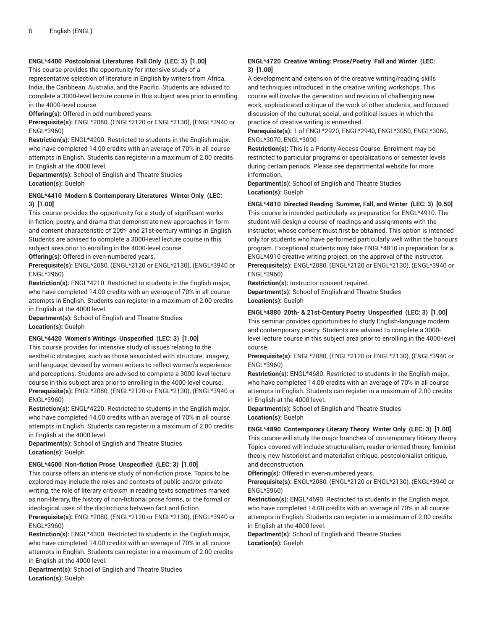# **ENGL\*4400 Postcolonial Literatures Fall Only (LEC: 3) [1.00]**

This course provides the opportunity for intensive study of a representative selection of literature in English by writers from Africa, India, the Caribbean, Australia, and the Pacific. Students are advised to complete a 3000-level lecture course in this subject area prior to enrolling in the 4000-level course.

**Offering(s):** Offered in odd-numbered years.

**Prerequisite(s):** ENGL\*2080, (ENGL\*2120 or ENGL\*2130), (ENGL\*3940 or ENGL\*3960)

**Restriction(s):** ENGL\*4200. Restricted to students in the English major, who have completed 14.00 credits with an average of 70% in all course attempts in English. Students can register in a maximum of 2.00 credits in English at the 4000 level.

**Department(s):** School of English and Theatre Studies **Location(s):** Guelph

# **ENGL\*4410 Modern & Contemporary Literatures Winter Only (LEC: 3) [1.00]**

This course provides the opportunity for a study of significant works in fiction, poetry, and drama that demonstrate new approaches in form and content characteristic of 20th- and 21st-century writings in English. Students are advised to complete a 3000-level lecture course in this subject area prior to enrolling in the 4000-level course.

**Offering(s):** Offered in even-numbered years.

**Prerequisite(s):** ENGL\*2080, (ENGL\*2120 or ENGL\*2130), (ENGL\*3940 or ENGL\*3960)

**Restriction(s):** ENGL\*4210. Restricted to students in the English major, who have completed 14.00 credits with an average of 70% in all course attempts in English. Students can register in a maximum of 2.00 credits in English at the 4000 level.

**Department(s):** School of English and Theatre Studies **Location(s):** Guelph

# **ENGL\*4420 Women's Writings Unspecified (LEC: 3) [1.00]**

This course provides for intensive study of issues relating to the aesthetic strategies, such as those associated with structure, imagery, and language, devised by women writers to reflect women's experience and perceptions. Students are advised to complete a 3000-level lecture course in this subject area prior to enrolling in the 4000-level course. **Prerequisite(s):** ENGL\*2080, (ENGL\*2120 or ENGL\*2130), (ENGL\*3940 or ENGL\*3960)

**Restriction(s):** ENGL\*4220. Restricted to students in the English major, who have completed 14.00 credits with an average of 70% in all course attempts in English. Students can register in a maximum of 2.00 credits in English at the 4000 level.

**Department(s):** School of English and Theatre Studies **Location(s):** Guelph

# **ENGL\*4500 Non-fiction Prose Unspecified (LEC: 3) [1.00]**

This course offers an intensive study of non-fiction prose. Topics to be explored may include the roles and contexts of public and/or private writing, the role of literary criticism in reading texts sometimes marked as non-literary, the history of non-fictional prose forms, or the formal or ideological uses of the distinctions between fact and fiction.

**Prerequisite(s):** ENGL\*2080, (ENGL\*2120 or ENGL\*2130), (ENGL\*3940 or ENGL\*3960)

**Restriction(s):** ENGL\*4300. Restricted to students in the English major, who have completed 14.00 credits with an average of 70% in all course attempts in English. Students can register in a maximum of 2.00 credits in English at the 4000 level.

**Department(s):** School of English and Theatre Studies **Location(s):** Guelph

# **ENGL\*4720 Creative Writing: Prose/Poetry Fall and Winter (LEC: 3) [1.00]**

A development and extension of the creative writing/reading skills and techniques introduced in the creative writing workshops. This course will involve the generation and revision of challenging new work, sophisticated critique of the work of other students, and focused discussion of the cultural, social, and political issues in which the practice of creative writing is enmeshed.

**Prerequisite(s):** 1 of ENGL\*2920, ENGL\*2940, ENGL\*3050, ENGL\*3060, ENGL\*3070, ENGL\*3090

**Restriction(s):** This is a Priority Access Course. Enrolment may be restricted to particular programs or specializations or semester levels during certain periods. Please see departmental website for more information.

**Department(s):** School of English and Theatre Studies **Location(s):** Guelph

# **ENGL\*4810 Directed Reading Summer, Fall, and Winter (LEC: 3) [0.50]**

This course is intended particularly as preparation for ENGL\*4910. The student will design a course of readings and assignments with the instructor, whose consent must first be obtained. This option is intended only for students who have performed particularly well within the honours program. Exceptional students may take ENGL\*4810 in preparation for a ENGL\*4910 creative writing project, on the approval of the instructor. **Prerequisite(s):** ENGL\*2080, (ENGL\*2120 or ENGL\*2130), (ENGL\*3940 or ENGL\*3960)

**Restriction(s):** Instructor consent required.

**Department(s):** School of English and Theatre Studies **Location(s):** Guelph

# **ENGL\*4880 20th- & 21st-Century Poetry Unspecified (LEC: 3) [1.00]**

This seminar provides opportunities to study English-language modern and contemporary poetry. Students are advised to complete a 3000 level lecture course in this subject area prior to enrolling in the 4000-level course.

**Prerequisite(s):** ENGL\*2080, (ENGL\*2120 or ENGL\*2130), (ENGL\*3940 or ENGL\*3960)

**Restriction(s):** ENGL\*4680. Restricted to students in the English major, who have completed 14.00 credits with an average of 70% in all course attempts in English. Students can register in a maximum of 2.00 credits in English at the 4000 level.

**Department(s):** School of English and Theatre Studies **Location(s):** Guelph

# **ENGL\*4890 Contemporary Literary Theory Winter Only (LEC: 3) [1.00]**

This course will study the major branches of contemporary literary theory. Topics covered will include structuralism, reader-oriented theory, feminist theory, new historicist and materialist critique, postcolonialist critique, and deconstruction.

**Offering(s):** Offered in even-numbered years.

**Prerequisite(s):** ENGL\*2080, (ENGL\*2120 or ENGL\*2130), (ENGL\*3940 or ENGL\*3960)

**Restriction(s):** ENGL\*4690. Restricted to students in the English major, who have completed 14.00 credits with an average of 70% in all course attempts in English. Students can register in a maximum of 2.00 credits in English at the 4000 level.